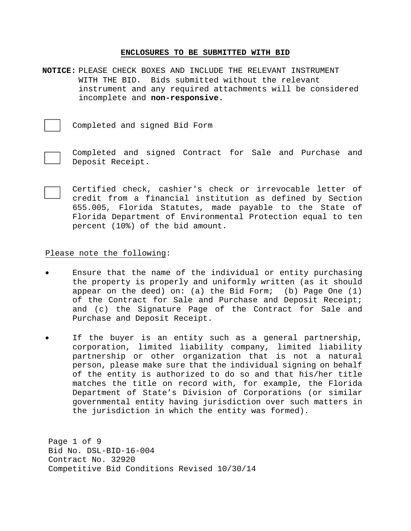### **ENCLOSURES TO BE SUBMITTED WITH BID**

**NOTICE:** PLEASE CHECK BOXES AND INCLUDE THE RELEVANT INSTRUMENT WITH THE BID. Bids submitted without the relevant instrument and any required attachments will be considered incomplete and **non-responsive.**

Completed and signed Bid Form



 Completed and signed Contract for Sale and Purchase and Deposit Receipt.

 Certified check, cashier's check or irrevocable letter of credit from a financial institution as defined by Section 655.005, Florida Statutes, made payable to the State of Florida Department of Environmental Protection equal to ten percent (10%) of the bid amount.

### Please note the following:

- Ensure that the name of the individual or entity purchasing the property is properly and uniformly written (as it should appear on the deed) on: (a) the Bid Form; (b) Page One (1) of the Contract for Sale and Purchase and Deposit Receipt; and (c) the Signature Page of the Contract for Sale and Purchase and Deposit Receipt.
- If the buyer is an entity such as a general partnership, corporation, limited liability company, limited liability partnership or other organization that is not a natural person, please make sure that the individual signing on behalf of the entity is authorized to do so and that his/her title matches the title on record with, for example, the Florida Department of State's Division of Corporations (or similar governmental entity having jurisdiction over such matters in the jurisdiction in which the entity was formed).

Page 1 of 9 Bid No. DSL-BID-16-004 Contract No. 32920 Competitive Bid Conditions Revised 10/30/14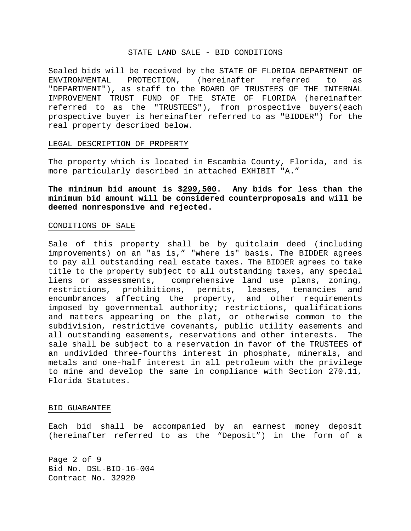#### STATE LAND SALE - BID CONDITIONS

Sealed bids will be received by the STATE OF FLORIDA DEPARTMENT OF ENVIRONMENTAL PROTECTION, (hereinafter referred to as "DEPARTMENT"), as staff to the BOARD OF TRUSTEES OF THE INTERNAL IMPROVEMENT TRUST FUND OF THE STATE OF FLORIDA (hereinafter referred to as the "TRUSTEES"), from prospective buyers(each prospective buyer is hereinafter referred to as "BIDDER") for the real property described below.

#### LEGAL DESCRIPTION OF PROPERTY

The property which is located in Escambia County, Florida, and is more particularly described in attached EXHIBIT "A."

**The minimum bid amount is \$299,500. Any bids for less than the minimum bid amount will be considered counterproposals and will be deemed nonresponsive and rejected.**

### CONDITIONS OF SALE

Sale of this property shall be by quitclaim deed (including improvements) on an "as is," "where is" basis. The BIDDER agrees to pay all outstanding real estate taxes. The BIDDER agrees to take title to the property subject to all outstanding taxes, any special liens or assessments, comprehensive land use plans, zoning, restrictions, prohibitions, permits, leases, tenancies and encumbrances affecting the property, and other requirements imposed by governmental authority; restrictions, qualifications and matters appearing on the plat, or otherwise common to the subdivision, restrictive covenants, public utility easements and all outstanding easements, reservations and other interests. The sale shall be subject to a reservation in favor of the TRUSTEES of an undivided three-fourths interest in phosphate, minerals, and metals and one-half interest in all petroleum with the privilege to mine and develop the same in compliance with Section 270.11, Florida Statutes.

### BID GUARANTEE

Each bid shall be accompanied by an earnest money deposit (hereinafter referred to as the "Deposit") in the form of a

Page 2 of 9 Bid No. DSL-BID-16-004 Contract No. 32920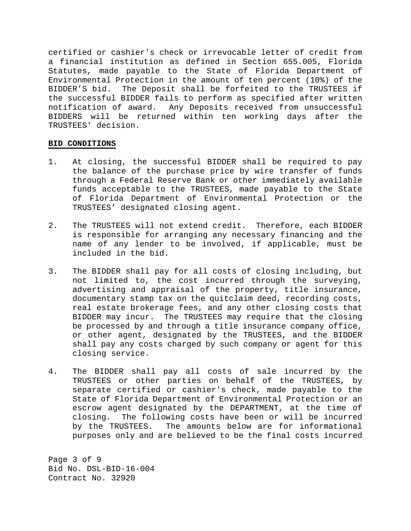certified or cashier's check or irrevocable letter of credit from a financial institution as defined in Section 655.005, Florida Statutes, made payable to the State of Florida Department of Environmental Protection in the amount of ten percent (10%) of the BIDDER'S bid. The Deposit shall be forfeited to the TRUSTEES if the successful BIDDER fails to perform as specified after written notification of award. Any Deposits received from unsuccessful BIDDERS will be returned within ten working days after the TRUSTEES' decision.

## **BID CONDITIONS**

- 1. At closing, the successful BIDDER shall be required to pay the balance of the purchase price by wire transfer of funds through a Federal Reserve Bank or other immediately available funds acceptable to the TRUSTEES, made payable to the State of Florida Department of Environmental Protection or the TRUSTEES' designated closing agent.
- 2. The TRUSTEES will not extend credit. Therefore, each BIDDER is responsible for arranging any necessary financing and the name of any lender to be involved, if applicable, must be included in the bid.
- 3. The BIDDER shall pay for all costs of closing including, but not limited to, the cost incurred through the surveying, advertising and appraisal of the property, title insurance, documentary stamp tax on the quitclaim deed, recording costs, real estate brokerage fees, and any other closing costs that BIDDER may incur. The TRUSTEES may require that the closing be processed by and through a title insurance company office, or other agent, designated by the TRUSTEES, and the BIDDER shall pay any costs charged by such company or agent for this closing service.
- 4. The BIDDER shall pay all costs of sale incurred by the TRUSTEES or other parties on behalf of the TRUSTEES, by separate certified or cashier's check, made payable to the State of Florida Department of Environmental Protection or an escrow agent designated by the DEPARTMENT, at the time of closing. The following costs have been or will be incurred by the TRUSTEES. The amounts below are for informational purposes only and are believed to be the final costs incurred

Page 3 of 9 Bid No. DSL-BID-16-004 Contract No. 32920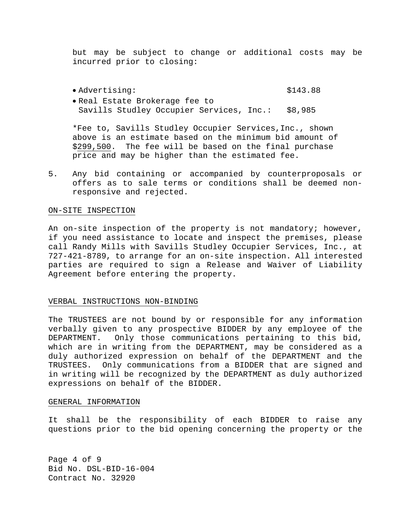but may be subject to change or additional costs may be incurred prior to closing:

 Advertising: \$143.88 Real Estate Brokerage fee to Savills Studley Occupier Services, Inc.: \$8,985

 \*Fee to, Savills Studley Occupier Services,Inc., shown above is an estimate based on the minimum bid amount of \$299,500. The fee will be based on the final purchase price and may be higher than the estimated fee.

5. Any bid containing or accompanied by counterproposals or offers as to sale terms or conditions shall be deemed nonresponsive and rejected.

### ON-SITE INSPECTION

An on-site inspection of the property is not mandatory; however, if you need assistance to locate and inspect the premises, please call Randy Mills with Savills Studley Occupier Services, Inc., at 727-421-8789, to arrange for an on-site inspection. All interested parties are required to sign a Release and Waiver of Liability Agreement before entering the property.

#### VERBAL INSTRUCTIONS NON-BINDING

The TRUSTEES are not bound by or responsible for any information verbally given to any prospective BIDDER by any employee of the DEPARTMENT. Only those communications pertaining to this bid, which are in writing from the DEPARTMENT, may be considered as a duly authorized expression on behalf of the DEPARTMENT and the TRUSTEES. Only communications from a BIDDER that are signed and in writing will be recognized by the DEPARTMENT as duly authorized expressions on behalf of the BIDDER.

#### GENERAL INFORMATION

It shall be the responsibility of each BIDDER to raise any questions prior to the bid opening concerning the property or the

Page 4 of 9 Bid No. DSL-BID-16-004 Contract No. 32920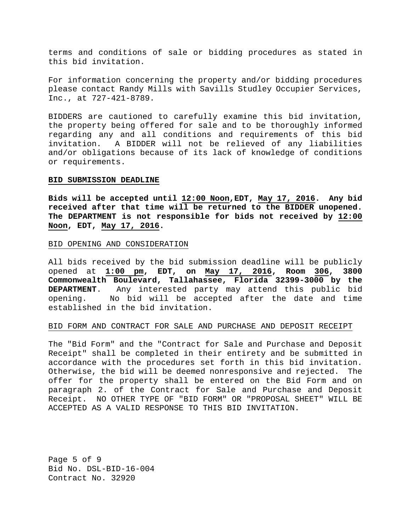terms and conditions of sale or bidding procedures as stated in this bid invitation.

For information concerning the property and/or bidding procedures please contact Randy Mills with Savills Studley Occupier Services, Inc., at 727-421-8789.

BIDDERS are cautioned to carefully examine this bid invitation, the property being offered for sale and to be thoroughly informed regarding any and all conditions and requirements of this bid invitation. A BIDDER will not be relieved of any liabilities and/or obligations because of its lack of knowledge of conditions or requirements.

#### **BID SUBMISSION DEADLINE**

**Bids will be accepted until 12:00 Noon,EDT, May 17, 2016. Any bid received after that time will be returned to the BIDDER unopened. The DEPARTMENT is not responsible for bids not received by 12:00 Noon, EDT, May 17, 2016.** 

#### BID OPENING AND CONSIDERATION

All bids received by the bid submission deadline will be publicly opened at **1:00 pm, EDT, on May 17, 2016, Room 306, 3800 Commonwealth Boulevard, Tallahassee, Florida 32399-3000 by the DEPARTMENT**. Any interested party may attend this public bid opening. No bid will be accepted after the date and time established in the bid invitation.

#### BID FORM AND CONTRACT FOR SALE AND PURCHASE AND DEPOSIT RECEIPT

The "Bid Form" and the "Contract for Sale and Purchase and Deposit Receipt" shall be completed in their entirety and be submitted in accordance with the procedures set forth in this bid invitation. Otherwise, the bid will be deemed nonresponsive and rejected. The offer for the property shall be entered on the Bid Form and on paragraph 2. of the Contract for Sale and Purchase and Deposit Receipt. NO OTHER TYPE OF "BID FORM" OR "PROPOSAL SHEET" WILL BE ACCEPTED AS A VALID RESPONSE TO THIS BID INVITATION.

Page 5 of 9 Bid No. DSL-BID-16-004 Contract No. 32920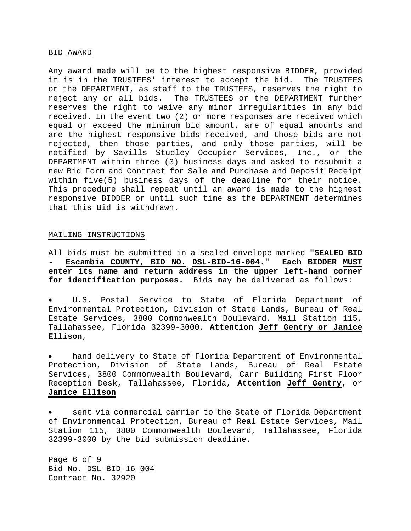#### BID AWARD

Any award made will be to the highest responsive BIDDER, provided it is in the TRUSTEES' interest to accept the bid. The TRUSTEES or the DEPARTMENT, as staff to the TRUSTEES, reserves the right to reject any or all bids. The TRUSTEES or the DEPARTMENT further reserves the right to waive any minor irregularities in any bid received. In the event two (2) or more responses are received which equal or exceed the minimum bid amount, are of equal amounts and are the highest responsive bids received, and those bids are not rejected, then those parties, and only those parties, will be notified by Savills Studley Occupier Services, Inc., or the DEPARTMENT within three (3) business days and asked to resubmit a new Bid Form and Contract for Sale and Purchase and Deposit Receipt within five(5) business days of the deadline for their notice. This procedure shall repeat until an award is made to the highest responsive BIDDER or until such time as the DEPARTMENT determines that this Bid is withdrawn.

#### MAILING INSTRUCTIONS

All bids must be submitted in a sealed envelope marked **"SEALED BID - Escambia COUNTY, BID NO. DSL-BID-16-004." Each BIDDER MUST enter its name and return address in the upper left-hand corner for identification purposes.** Bids may be delivered as follows:

 U.S. Postal Service to State of Florida Department of Environmental Protection, Division of State Lands, Bureau of Real Estate Services, 3800 Commonwealth Boulevard, Mail Station 115, Tallahassee, Florida 32399-3000, **Attention Jeff Gentry or Janice Ellison**,

 hand delivery to State of Florida Department of Environmental Protection, Division of State Lands, Bureau of Real Estate Services, 3800 Commonwealth Boulevard, Carr Building First Floor Reception Desk, Tallahassee, Florida, **Attention Jeff Gentry,** or **Janice Ellison**

 sent via commercial carrier to the State of Florida Department of Environmental Protection, Bureau of Real Estate Services, Mail Station 115, 3800 Commonwealth Boulevard, Tallahassee, Florida 32399-3000 by the bid submission deadline.

Page 6 of 9 Bid No. DSL-BID-16-004 Contract No. 32920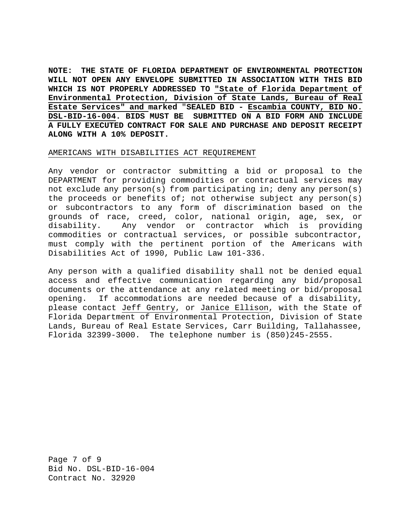**NOTE: THE STATE OF FLORIDA DEPARTMENT OF ENVIRONMENTAL PROTECTION WILL NOT OPEN ANY ENVELOPE SUBMITTED IN ASSOCIATION WITH THIS BID WHICH IS NOT PROPERLY ADDRESSED TO "State of Florida Department of Environmental Protection, Division of State Lands, Bureau of Real Estate Services" and marked** "**SEALED BID - Escambia COUNTY, BID NO. DSL-BID-16-004. BIDS MUST BE SUBMITTED ON A BID FORM AND INCLUDE A FULLY EXECUTED CONTRACT FOR SALE AND PURCHASE AND DEPOSIT RECEIPT ALONG WITH A 10% DEPOSIT.** 

### AMERICANS WITH DISABILITIES ACT REQUIREMENT

Any vendor or contractor submitting a bid or proposal to the DEPARTMENT for providing commodities or contractual services may not exclude any person(s) from participating in; deny any person(s) the proceeds or benefits of; not otherwise subject any person(s) or subcontractors to any form of discrimination based on the grounds of race, creed, color, national origin, age, sex, or disability. Any vendor or contractor which is providing commodities or contractual services, or possible subcontractor, must comply with the pertinent portion of the Americans with Disabilities Act of 1990, Public Law 101-336.

Any person with a qualified disability shall not be denied equal access and effective communication regarding any bid/proposal documents or the attendance at any related meeting or bid/proposal opening. If accommodations are needed because of a disability, please contact Jeff Gentry, or Janice Ellison, with the State of Florida Department of Environmental Protection, Division of State Lands, Bureau of Real Estate Services, Carr Building, Tallahassee, Florida 32399-3000. The telephone number is (850)245-2555.

Page 7 of 9 Bid No. DSL-BID-16-004 Contract No. 32920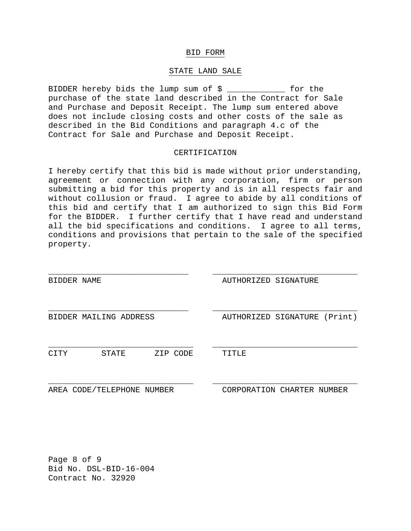### BID FORM

### STATE LAND SALE

BIDDER hereby bids the lump sum of \$ \_\_\_\_\_\_\_\_\_\_\_\_ for the purchase of the state land described in the Contract for Sale and Purchase and Deposit Receipt. The lump sum entered above does not include closing costs and other costs of the sale as described in the Bid Conditions and paragraph 4.c of the Contract for Sale and Purchase and Deposit Receipt.

### CERTIFICATION

I hereby certify that this bid is made without prior understanding, agreement or connection with any corporation, firm or person submitting a bid for this property and is in all respects fair and without collusion or fraud. I agree to abide by all conditions of this bid and certify that I am authorized to sign this Bid Form for the BIDDER. I further certify that I have read and understand all the bid specifications and conditions. I agree to all terms, conditions and provisions that pertain to the sale of the specified property.

| BIDDER | NAME                       |          | AUTHORIZED SIGNATURE       |         |
|--------|----------------------------|----------|----------------------------|---------|
|        |                            |          |                            |         |
|        | BIDDER MAILING ADDRESS     |          | AUTHORIZED SIGNATURE       | (Print) |
| CITY   | STATE                      | ZIP CODE | TITLE                      |         |
|        | AREA CODE/TELEPHONE NUMBER |          | CORPORATION CHARTER NUMBER |         |

Page 8 of 9 Bid No. DSL-BID-16-004 Contract No. 32920